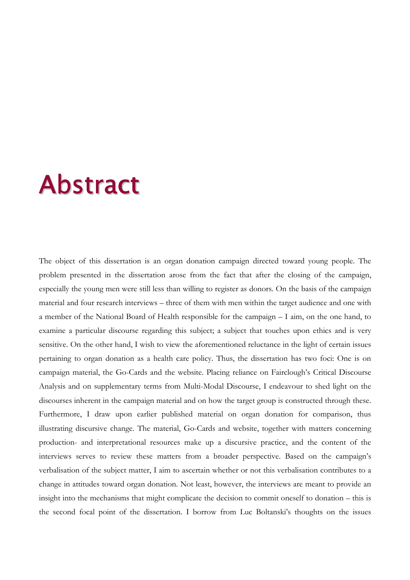## Abstract

The object of this dissertation is an organ donation campaign directed toward young people. The problem presented in the dissertation arose from the fact that after the closing of the campaign, especially the young men were still less than willing to register as donors. On the basis of the campaign material and four research interviews – three of them with men within the target audience and one with a member of the National Board of Health responsible for the campaign – I aim, on the one hand, to examine a particular discourse regarding this subject; a subject that touches upon ethics and is very sensitive. On the other hand, I wish to view the aforementioned reluctance in the light of certain issues pertaining to organ donation as a health care policy. Thus, the dissertation has two foci: One is on campaign material, the Go-Cards and the website. Placing reliance on Fairclough's Critical Discourse Analysis and on supplementary terms from Multi-Modal Discourse, I endeavour to shed light on the discourses inherent in the campaign material and on how the target group is constructed through these. Furthermore, I draw upon earlier published material on organ donation for comparison, thus illustrating discursive change. The material, Go-Cards and website, together with matters concerning production- and interpretational resources make up a discursive practice, and the content of the interviews serves to review these matters from a broader perspective. Based on the campaign's verbalisation of the subject matter, I aim to ascertain whether or not this verbalisation contributes to a change in attitudes toward organ donation. Not least, however, the interviews are meant to provide an insight into the mechanisms that might complicate the decision to commit oneself to donation – this is the second focal point of the dissertation. I borrow from Luc Boltanski's thoughts on the issues